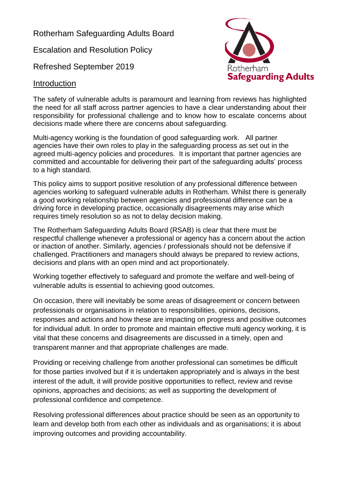Rotherham Safeguarding Adults Board

Escalation and Resolution Policy

Refreshed September 2019



#### Introduction

The safety of vulnerable adults is paramount and learning from reviews has highlighted the need for all staff across partner agencies to have a clear understanding about their responsibility for professional challenge and to know how to escalate concerns about decisions made where there are concerns about safeguarding.

Multi-agency working is the foundation of good safeguarding work. All partner agencies have their own roles to play in the safeguarding process as set out in the agreed multi-agency policies and procedures. It is important that partner agencies are committed and accountable for delivering their part of the safeguarding adults' process to a high standard.

This policy aims to support positive resolution of any professional difference between agencies working to safeguard vulnerable adults in Rotherham. Whilst there is generally a good working relationship between agencies and professional difference can be a driving force in developing practice, occasionally disagreements may arise which requires timely resolution so as not to delay decision making.

The Rotherham Safeguarding Adults Board (RSAB) is clear that there must be respectful challenge whenever a professional or agency has a concern about the action or inaction of another. Similarly, agencies / professionals should not be defensive if challenged. Practitioners and managers should always be prepared to review actions, decisions and plans with an open mind and act proportionately.

Working together effectively to safeguard and promote the welfare and well-being of vulnerable adults is essential to achieving good outcomes.

On occasion, there will inevitably be some areas of disagreement or concern between professionals or organisations in relation to responsibilities, opinions, decisions, responses and actions and how these are impacting on progress and positive outcomes for individual adult. In order to promote and maintain effective multi agency working, it is vital that these concerns and disagreements are discussed in a timely, open and transparent manner and that appropriate challenges are made.

Providing or receiving challenge from another professional can sometimes be difficult for those parties involved but if it is undertaken appropriately and is always in the best interest of the adult, it will provide positive opportunities to reflect, review and revise opinions, approaches and decisions; as well as supporting the development of professional confidence and competence.

Resolving professional differences about practice should be seen as an opportunity to learn and develop both from each other as individuals and as organisations; it is about improving outcomes and providing accountability.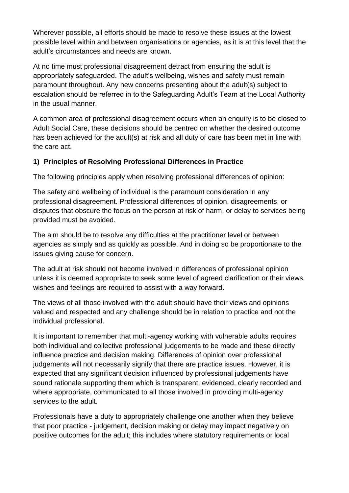Wherever possible, all efforts should be made to resolve these issues at the lowest possible level within and between organisations or agencies, as it is at this level that the adult's circumstances and needs are known.

At no time must professional disagreement detract from ensuring the adult is appropriately safeguarded. The adult's wellbeing, wishes and safety must remain paramount throughout. Any new concerns presenting about the adult(s) subject to escalation should be referred in to the Safeguarding Adult's Team at the Local Authority in the usual manner.

A common area of professional disagreement occurs when an enquiry is to be closed to Adult Social Care, these decisions should be centred on whether the desired outcome has been achieved for the adult(s) at risk and all duty of care has been met in line with the care act.

## **1) Principles of Resolving Professional Differences in Practice**

The following principles apply when resolving professional differences of opinion:

The safety and wellbeing of individual is the paramount consideration in any professional disagreement. Professional differences of opinion, disagreements, or disputes that obscure the focus on the person at risk of harm, or delay to services being provided must be avoided.

The aim should be to resolve any difficulties at the practitioner level or between agencies as simply and as quickly as possible. And in doing so be proportionate to the issues giving cause for concern.

The adult at risk should not become involved in differences of professional opinion unless it is deemed appropriate to seek some level of agreed clarification or their views, wishes and feelings are required to assist with a way forward.

The views of all those involved with the adult should have their views and opinions valued and respected and any challenge should be in relation to practice and not the individual professional.

It is important to remember that multi-agency working with vulnerable adults requires both individual and collective professional judgements to be made and these directly influence practice and decision making. Differences of opinion over professional judgements will not necessarily signify that there are practice issues. However, it is expected that any significant decision influenced by professional judgements have sound rationale supporting them which is transparent, evidenced, clearly recorded and where appropriate, communicated to all those involved in providing multi-agency services to the adult.

Professionals have a duty to appropriately challenge one another when they believe that poor practice - judgement, decision making or delay may impact negatively on positive outcomes for the adult; this includes where statutory requirements or local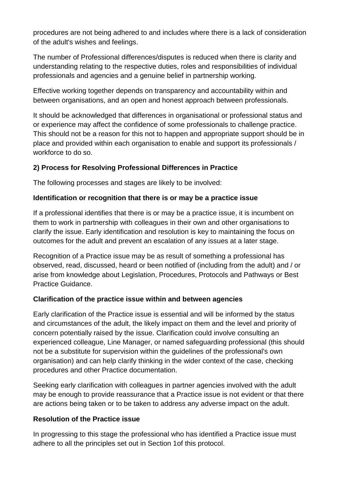procedures are not being adhered to and includes where there is a lack of consideration of the adult's wishes and feelings.

The number of Professional differences/disputes is reduced when there is clarity and understanding relating to the respective duties, roles and responsibilities of individual professionals and agencies and a genuine belief in partnership working.

Effective working together depends on transparency and accountability within and between organisations, and an open and honest approach between professionals.

It should be acknowledged that differences in organisational or professional status and or experience may affect the confidence of some professionals to challenge practice. This should not be a reason for this not to happen and appropriate support should be in place and provided within each organisation to enable and support its professionals / workforce to do so.

### **2) Process for Resolving Professional Differences in Practice**

The following processes and stages are likely to be involved:

#### **Identification or recognition that there is or may be a practice issue**

If a professional identifies that there is or may be a practice issue, it is incumbent on them to work in partnership with colleagues in their own and other organisations to clarify the issue. Early identification and resolution is key to maintaining the focus on outcomes for the adult and prevent an escalation of any issues at a later stage.

Recognition of a Practice issue may be as result of something a professional has observed, read, discussed, heard or been notified of (including from the adult) and / or arise from knowledge about Legislation, Procedures, Protocols and Pathways or Best Practice Guidance.

#### **Clarification of the practice issue within and between agencies**

Early clarification of the Practice issue is essential and will be informed by the status and circumstances of the adult, the likely impact on them and the level and priority of concern potentially raised by the issue. Clarification could involve consulting an experienced colleague, Line Manager, or named safeguarding professional (this should not be a substitute for supervision within the guidelines of the professional's own organisation) and can help clarify thinking in the wider context of the case, checking procedures and other Practice documentation.

Seeking early clarification with colleagues in partner agencies involved with the adult may be enough to provide reassurance that a Practice issue is not evident or that there are actions being taken or to be taken to address any adverse impact on the adult.

#### **Resolution of the Practice issue**

In progressing to this stage the professional who has identified a Practice issue must adhere to all the principles set out in Section 1of this protocol.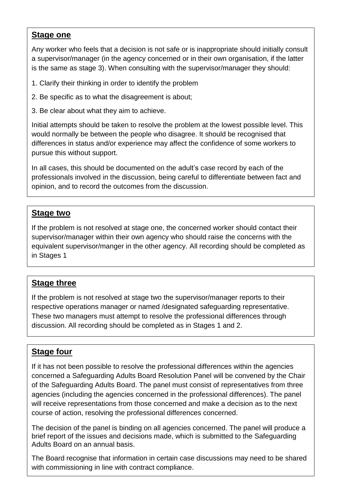## **Stage one**

Any worker who feels that a decision is not safe or is inappropriate should initially consult a supervisor/manager (in the agency concerned or in their own organisation, if the latter is the same as stage 3). When consulting with the supervisor/manager they should:

- 1. Clarify their thinking in order to identify the problem
- 2. Be specific as to what the disagreement is about;
- 3. Be clear about what they aim to achieve.

Initial attempts should be taken to resolve the problem at the lowest possible level. This would normally be between the people who disagree. It should be recognised that differences in status and/or experience may affect the confidence of some workers to pursue this without support.

In all cases, this should be documented on the adult's case record by each of the professionals involved in the discussion, being careful to differentiate between fact and opinion, and to record the outcomes from the discussion.

## **Stage two**

If the problem is not resolved at stage one, the concerned worker should contact their supervisor/manager within their own agency who should raise the concerns with the equivalent supervisor/manger in the other agency. All recording should be completed as in Stages 1

## **Stage three**

If the problem is not resolved at stage two the supervisor/manager reports to their respective operations manager or named /designated safeguarding representative. These two managers must attempt to resolve the professional differences through discussion. All recording should be completed as in Stages 1 and 2.

## **Stage four**

If it has not been possible to resolve the professional differences within the agencies concerned a Safeguarding Adults Board Resolution Panel will be convened by the Chair of the Safeguarding Adults Board. The panel must consist of representatives from three agencies (including the agencies concerned in the professional differences). The panel will receive representations from those concerned and make a decision as to the next course of action, resolving the professional differences concerned.

The decision of the panel is binding on all agencies concerned. The panel will produce a brief report of the issues and decisions made, which is submitted to the Safeguarding Adults Board on an annual basis.

The Board recognise that information in certain case discussions may need to be shared with commissioning in line with contract compliance.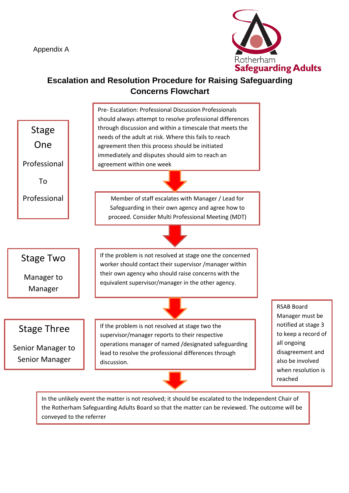Appendix A



# **Escalation and Resolution Procedure for Raising Safeguarding Concerns Flowchart**



the Rotherham Safeguarding Adults Board so that the matter can be reviewed. The outcome will be conveyed to the referrer